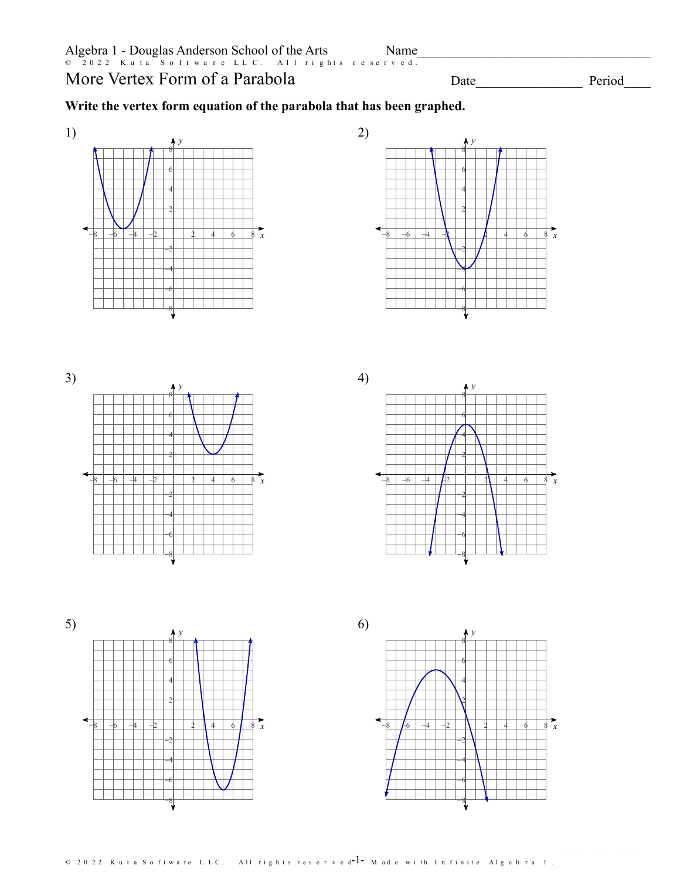Period\_

*x*

*x*

**Write the vertex form equation of the parabola that has been graphed.**







© 2022 Kuta Software LLC. All rights reserved  $1^-$  Made with Infinite Algebra 1.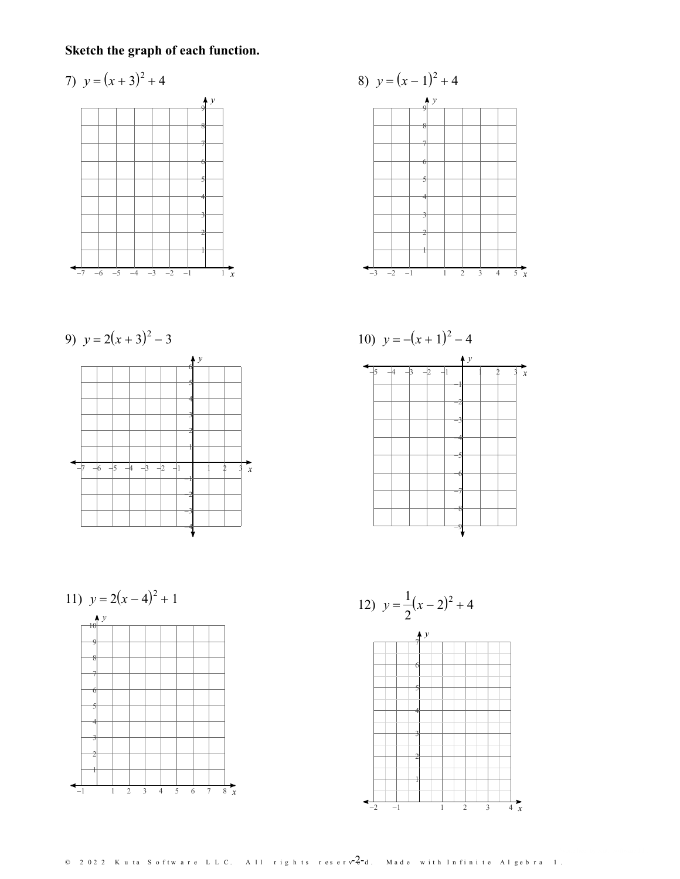## Sketch the graph of each function.



 $-4 -3$ 

 $-2$   $-1$ 

 $-6 -5$ 







 $\circ$  2022 Kuta Software LLC. All rights reserv $-2$ d. Made with Infinite Algebra 1.